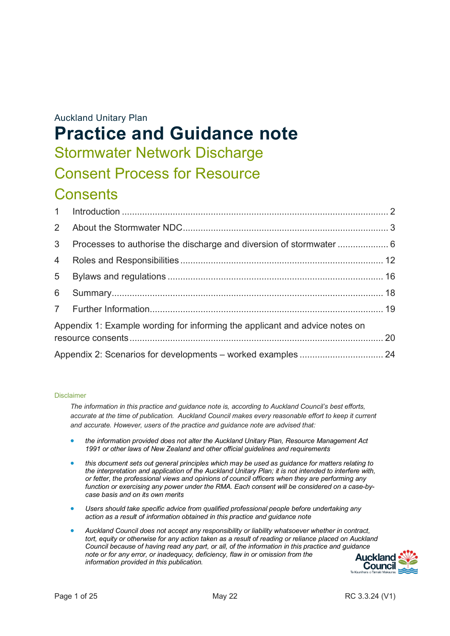# Auckland Unitary Plan **Practice and Guidance note** Stormwater Network Discharge Consent Process for Resource

# **Consents**

| 3 <sup>7</sup> |                                                                             |  |
|----------------|-----------------------------------------------------------------------------|--|
| $\overline{4}$ |                                                                             |  |
| 5 <sup>5</sup> |                                                                             |  |
| 6 <sup>1</sup> |                                                                             |  |
|                |                                                                             |  |
|                | Appendix 1: Example wording for informing the applicant and advice notes on |  |
|                |                                                                             |  |
|                | Appendix 2: Scenarios for developments - worked examples  24                |  |

#### Disclaimer

*The information in this practice and guidance note is, according to Auckland Council's best efforts, accurate at the time of publication. Auckland Council makes every reasonable effort to keep it current and accurate. However, users of the practice and guidance note are advised that:* 

- *the information provided does not alter the Auckland Unitary Plan, Resource Management Act 1991 or other laws of New Zealand and other official guidelines and requirements*
- *this document sets out general principles which may be used as guidance for matters relating to the interpretation and application of the Auckland Unitary Plan; it is not intended to interfere with, or fetter, the professional views and opinions of council officers when they are performing any function or exercising any power under the RMA. Each consent will be considered on a case-bycase basis and on its own merits*
- *Users should take specific advice from qualified professional people before undertaking any action as a result of information obtained in this practice and guidance note*
- *Auckland Council does not accept any responsibility or liability whatsoever whether in contract,*  tort, equity or otherwise for any action taken as a result of reading or reliance placed on Auckland *Council because of having read any part, or all, of the information in this practice and guidance note or for any error, or inadequacy, deficiency, flaw in or omission from the information provided in this publication.*

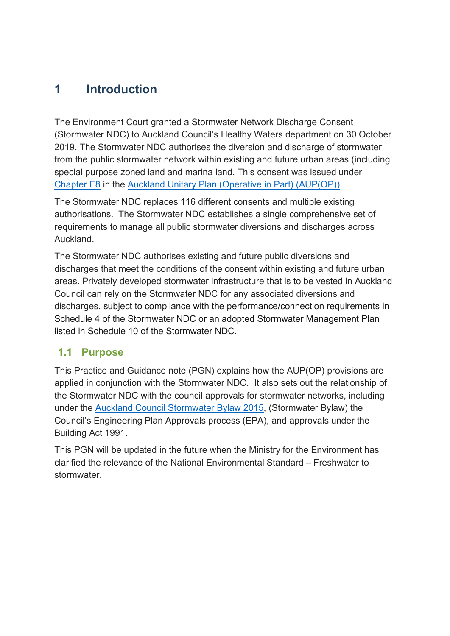## <span id="page-1-0"></span>**1 Introduction**

The Environment Court granted a Stormwater Network Discharge Consent (Stormwater NDC) to Auckland Council's Healthy Waters department on 30 October 2019. The Stormwater NDC authorises the diversion and discharge of stormwater from the public stormwater network within existing and future urban areas (including special purpose zoned land and marina land. This consent was issued under [Chapter E8](https://unitaryplan.aucklandcouncil.govt.nz/Images/Auckland%20Unitary%20Plan%20Operative/Chapter%20E%20Auckland-wide/1.%20Natural%20Resources/E8%20Stormwater%20-%20Discharge%20and%20diversion.pdf) in the [Auckland Unitary Plan \(Operative](https://unitaryplan.aucklandcouncil.govt.nz/pages/plan/Book.aspx?exhibit=AucklandUnitaryPlan_Print) in Part) (AUP(OP)).

The Stormwater NDC replaces 116 different consents and multiple existing authorisations. The Stormwater NDC establishes a single comprehensive set of requirements to manage all public stormwater diversions and discharges across Auckland.

The Stormwater NDC authorises existing and future public diversions and discharges that meet the conditions of the consent within existing and future urban areas. Privately developed stormwater infrastructure that is to be vested in Auckland Council can rely on the Stormwater NDC for any associated diversions and discharges, subject to compliance with the performance/connection requirements in Schedule 4 of the Stormwater NDC or an adopted Stormwater Management Plan listed in Schedule 10 of the Stormwater NDC.

### **1.1 Purpose**

This Practice and Guidance note (PGN) explains how the AUP(OP) provisions are applied in conjunction with the Stormwater NDC. It also sets out the relationship of the Stormwater NDC with the council approvals for stormwater networks, including under the [Auckland Council Stormwater Bylaw 2015,](https://www.aucklandcouncil.govt.nz/plans-projects-policies-reports-bylaws/bylaws/Documents/stormwaterbylaw2015.pdf) (Stormwater Bylaw) the Council's Engineering Plan Approvals process (EPA), and approvals under the Building Act 1991.

This PGN will be updated in the future when the Ministry for the Environment has clarified the relevance of the National Environmental Standard – Freshwater to stormwater.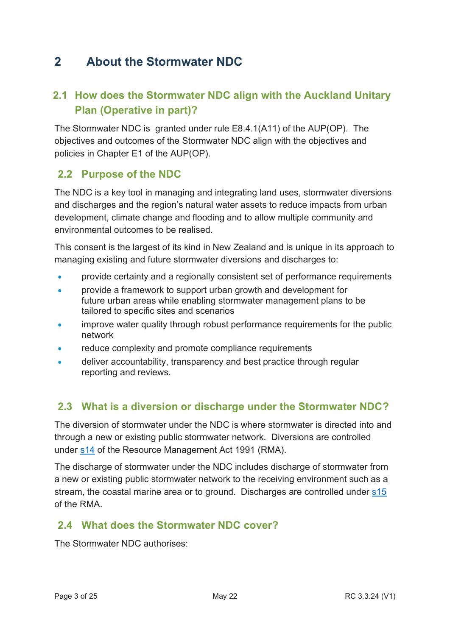## <span id="page-2-0"></span>**2 About the Stormwater NDC**

## **2.1 How does the Stormwater NDC align with the Auckland Unitary Plan (Operative in part)?**

The Stormwater NDC is granted under rule E8.4.1(A11) of the AUP(OP). The objectives and outcomes of the Stormwater NDC align with the objectives and policies in Chapter E1 of the AUP(OP).

## **2.2 Purpose of the NDC**

The NDC is a key tool in managing and integrating land uses, stormwater diversions and discharges and the region's natural water assets to reduce impacts from urban development, climate change and flooding and to allow multiple community and environmental outcomes to be realised.

This consent is the largest of its kind in New Zealand and is unique in its approach to managing existing and future stormwater diversions and discharges to:

- provide certainty and a regionally consistent set of performance requirements
- provide a framework to support [urban](http://www.aucklanddesignmanual.co.nz/regulations/technical-guidance/ndc) growth and development for future [urban](http://www.aucklanddesignmanual.co.nz/regulations/technical-guidance/ndc) areas while enabling stormwater management plans to be tailored to specific sites and scenarios
- improve water quality through robust performance requirements for the public network
- reduce complexity and promote compliance requirements
- deliver accountability, transparency and [best practice](http://www.aucklanddesignmanual.co.nz/regulations/technical-guidance/ndc) through regular reporting and reviews.

## **2.3 What is a diversion or discharge under the Stormwater NDC?**

The diversion of stormwater under the NDC is where stormwater is directed into and through a new or existing public stormwater network. Diversions are controlled under [s14](https://legislation.govt.nz/act/public/1991/0069/latest/DLM231974.html) of the Resource Management Act 1991 (RMA).

The discharge of stormwater under the NDC includes discharge of stormwater from a new or existing public stormwater network to the receiving environment such as a stream, the coastal marine area or to ground. Discharges are controlled under [s15](https://legislation.govt.nz/act/public/1991/0069/latest/DLM231977.html) of the RMA.

## **2.4 What does the Stormwater NDC cover?**

The Stormwater NDC authorises: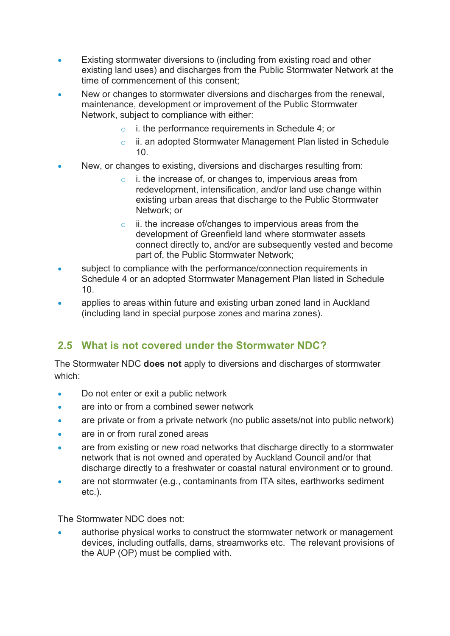- Existing stormwater diversions to (including from existing road and other existing land uses) and discharges from the Public Stormwater Network at the time of commencement of this consent;
- New or changes to stormwater diversions and discharges from the renewal, maintenance, development or improvement of the Public Stormwater Network, subject to compliance with either:
	- o i. the performance requirements in Schedule 4; or
	- o ii. an adopted Stormwater Management Plan listed in Schedule 10.
- New, or changes to existing, diversions and discharges resulting from:
	- i. the increase of, or changes to, impervious areas from redevelopment, intensification, and/or land use change within existing urban areas that discharge to the Public Stormwater Network; or
	- $\circ$  ii. the increase of/changes to impervious areas from the development of Greenfield land where stormwater assets connect directly to, and/or are subsequently vested and become part of, the Public Stormwater Network;
- subject to compliance with the performance/connection requirements in Schedule 4 or an adopted Stormwater Management Plan listed in Schedule 10.
- applies to areas within future and existing urban zoned land in Auckland (including land in special purpose zones and marina zones).

## **2.5 What is not covered under the Stormwater NDC?**

The Stormwater NDC **does not** apply to diversions and discharges of stormwater which:

- Do not enter or exit a public network
- are into or from a combined sewer network
- are private or from a private network (no public assets/not into public network)
- are in or from rural zoned areas
- are from existing or new road networks that discharge directly to a stormwater network that is not owned and operated by Auckland Council and/or that discharge directly to a freshwater or coastal natural environment or to ground.
- are not stormwater (e.g., contaminants from ITA sites, earthworks sediment etc.).

The Stormwater NDC does not:

authorise physical works to construct the stormwater network or management devices, including outfalls, dams, streamworks etc. The relevant provisions of the AUP (OP) must be complied with.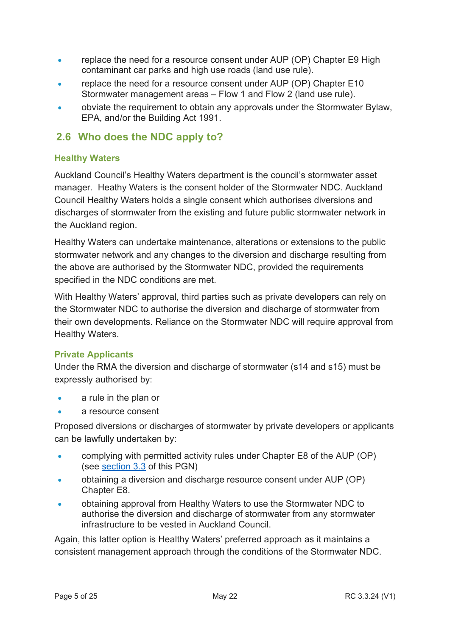- replace the need for a resource consent under AUP (OP) Chapter E9 High contaminant car parks and high use roads (land use rule).
- replace the need for a resource consent under AUP (OP) Chapter E10 Stormwater management areas – Flow 1 and Flow 2 (land use rule).
- obviate the requirement to obtain any approvals under the Stormwater Bylaw, EPA, and/or the Building Act 1991.

## **2.6 Who does the NDC apply to?**

#### **Healthy Waters**

Auckland Council's Healthy Waters department is the council's stormwater asset manager. Heathy Waters is the consent holder of the Stormwater NDC. Auckland Council Healthy Waters holds a single consent which authorises diversions and discharges of stormwater from the existing and future public stormwater network in the Auckland region.

Healthy Waters can undertake maintenance, alterations or extensions to the public stormwater network and any changes to the diversion and discharge resulting from the above are authorised by the Stormwater NDC, provided the requirements specified in the NDC conditions are met.

With Healthy Waters' approval, third parties such as private developers can rely on the Stormwater NDC to authorise the diversion and discharge of stormwater from their own developments. Reliance on the Stormwater NDC will require approval from Healthy Waters.

#### **Private Applicants**

Under the RMA the diversion and discharge of stormwater (s14 and s15) must be expressly authorised by:

- a rule in the plan or
- a resource consent

Proposed diversions or discharges of stormwater by private developers or applicants can be lawfully undertaken by:

- complying with permitted activity rules under Chapter E8 of the AUP (OP) (see [section 3.3](#page-9-0) of this PGN)
- obtaining a diversion and discharge resource consent under AUP (OP) Chapter E8.
- obtaining approval from Healthy Waters to use the Stormwater NDC to authorise the diversion and discharge of stormwater from any stormwater infrastructure to be vested in Auckland Council.

Again, this latter option is Healthy Waters' preferred approach as it maintains a consistent management approach through the conditions of the Stormwater NDC.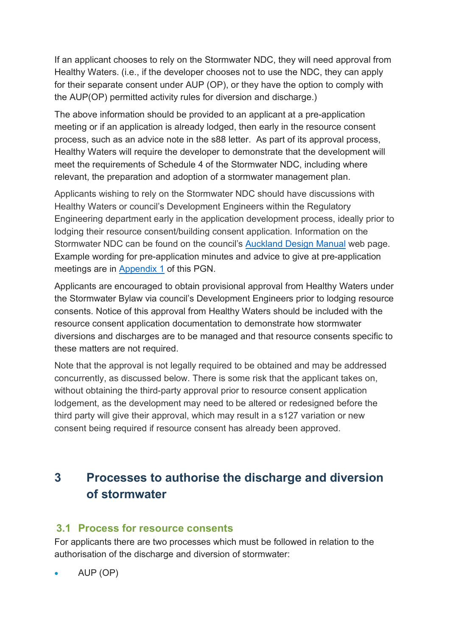If an applicant chooses to rely on the Stormwater NDC, they will need approval from Healthy Waters. (i.e., if the developer chooses not to use the NDC, they can apply for their separate consent under AUP (OP), or they have the option to comply with the AUP(OP) permitted activity rules for diversion and discharge.)

The above information should be provided to an applicant at a pre-application meeting or if an application is already lodged, then early in the resource consent process, such as an advice note in the s88 letter. As part of its approval process, Healthy Waters will require the developer to demonstrate that the development will meet the requirements of Schedule 4 of the Stormwater NDC, including where relevant, the preparation and adoption of a stormwater management plan.

Applicants wishing to rely on the Stormwater NDC should have discussions with Healthy Waters or council's Development Engineers within the Regulatory Engineering department early in the application development process, ideally prior to lodging their resource consent/building consent application. Information on the Stormwater NDC can be found on the council's [Auckland Design Manual](http://www.aucklanddesignmanual.co.nz/regulations/technical-guidance/ndc) web page. Example wording for pre-application minutes and advice to give at pre-application meetings are in [Appendix 1](#page-19-0) of this PGN.

Applicants are encouraged to obtain provisional approval from Healthy Waters under the Stormwater Bylaw via council's Development Engineers prior to lodging resource consents. Notice of this approval from Healthy Waters should be included with the resource consent application documentation to demonstrate how stormwater diversions and discharges are to be managed and that resource consents specific to these matters are not required.

Note that the approval is not legally required to be obtained and may be addressed concurrently, as discussed below. There is some risk that the applicant takes on, without obtaining the third-party approval prior to resource consent application lodgement, as the development may need to be altered or redesigned before the third party will give their approval, which may result in a s127 variation or new consent being required if resource consent has already been approved.

## <span id="page-5-0"></span>**3 Processes to authorise the discharge and diversion of stormwater**

## **3.1 Process for resource consents**

For applicants there are two processes which must be followed in relation to the authorisation of the discharge and diversion of stormwater:

• AUP (OP)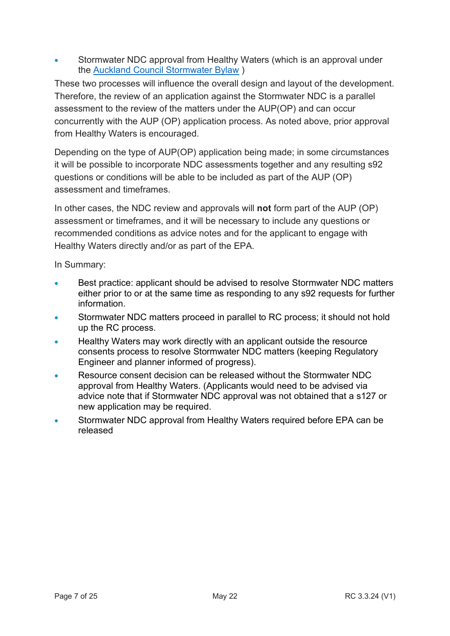• Stormwater NDC approval from Healthy Waters (which is an approval under the [Auckland Council Stormwater Bylaw](#page-15-1) )

These two processes will influence the overall design and layout of the development. Therefore, the review of an application against the Stormwater NDC is a parallel assessment to the review of the matters under the AUP(OP) and can occur concurrently with the AUP (OP) application process. As noted above, prior approval from Healthy Waters is encouraged.

Depending on the type of AUP(OP) application being made; in some circumstances it will be possible to incorporate NDC assessments together and any resulting s92 questions or conditions will be able to be included as part of the AUP (OP) assessment and timeframes.

In other cases, the NDC review and approvals will **not** form part of the AUP (OP) assessment or timeframes, and it will be necessary to include any questions or recommended conditions as advice notes and for the applicant to engage with Healthy Waters directly and/or as part of the EPA.

In Summary:

- Best practice: applicant should be advised to resolve Stormwater NDC matters either prior to or at the same time as responding to any s92 requests for further information.
- Stormwater NDC matters proceed in parallel to RC process; it should not hold up the RC process.
- Healthy Waters may work directly with an applicant outside the resource consents process to resolve Stormwater NDC matters (keeping Regulatory Engineer and planner informed of progress).
- Resource consent decision can be released without the Stormwater NDC approval from Healthy Waters. (Applicants would need to be advised via advice note that if Stormwater NDC approval was not obtained that a s127 or new application may be required.
- Stormwater NDC approval from Healthy Waters required before EPA can be released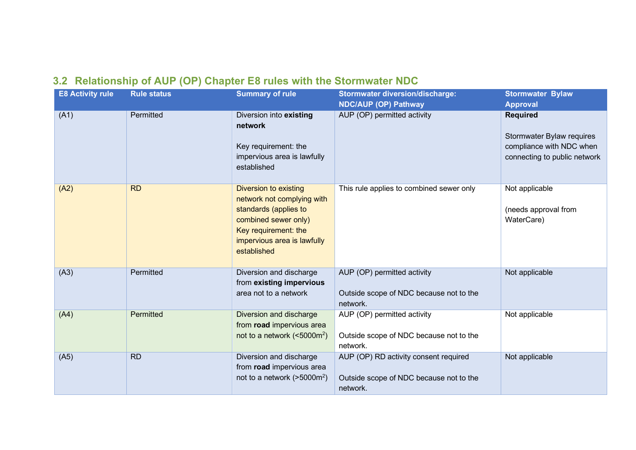## **3.2 Relationship of AUP (OP) Chapter E8 rules with the Stormwater NDC**

| <b>E8 Activity rule</b> | <b>Rule status</b> | <b>Summary of rule</b>                                                                                                                                                                                                 | <b>Stormwater diversion/discharge:</b><br><b>NDC/AUP (OP) Pathway</b>                        | <b>Stormwater Bylaw</b><br><b>Approval</b>                                                               |
|-------------------------|--------------------|------------------------------------------------------------------------------------------------------------------------------------------------------------------------------------------------------------------------|----------------------------------------------------------------------------------------------|----------------------------------------------------------------------------------------------------------|
| (A1)                    | Permitted          | Diversion into existing<br>network<br>Key requirement: the<br>impervious area is lawfully<br>established                                                                                                               | AUP (OP) permitted activity                                                                  | <b>Required</b><br>Stormwater Bylaw requires<br>compliance with NDC when<br>connecting to public network |
| (A2)                    | <b>RD</b>          | This rule applies to combined sewer only<br>Diversion to existing<br>network not complying with<br>standards (applies to<br>combined sewer only)<br>Key requirement: the<br>impervious area is lawfully<br>established |                                                                                              | Not applicable<br>(needs approval from<br>WaterCare)                                                     |
| (A3)                    | Permitted          | Diversion and discharge<br>from existing impervious<br>area not to a network                                                                                                                                           | AUP (OP) permitted activity<br>Outside scope of NDC because not to the<br>network.           | Not applicable                                                                                           |
| (A4)                    | Permitted          | Diversion and discharge<br>from road impervious area<br>not to a network ( $<5000m^2$ )                                                                                                                                | AUP (OP) permitted activity<br>Outside scope of NDC because not to the<br>network.           | Not applicable                                                                                           |
| (A5)                    | <b>RD</b>          | Diversion and discharge<br>from road impervious area<br>not to a network ( $>5000$ m <sup>2</sup> )                                                                                                                    | AUP (OP) RD activity consent required<br>Outside scope of NDC because not to the<br>network. | Not applicable                                                                                           |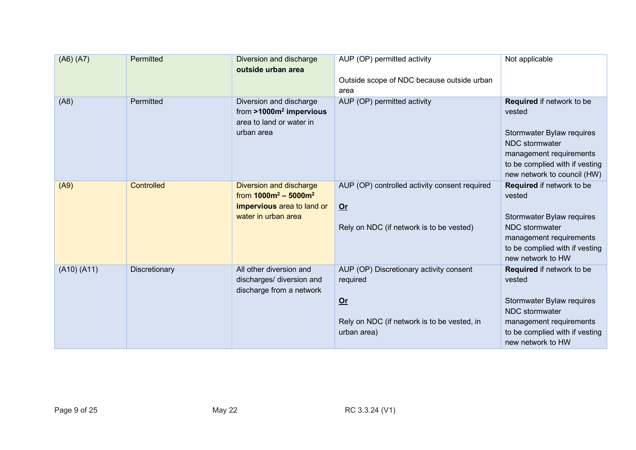| (A6)(A7)    | Permitted         | Diversion and discharge<br>outside urban area                                                                   | AUP (OP) permitted activity<br>Outside scope of NDC because outside urban<br>area                                         | Not applicable                                                                                                                                                                        |
|-------------|-------------------|-----------------------------------------------------------------------------------------------------------------|---------------------------------------------------------------------------------------------------------------------------|---------------------------------------------------------------------------------------------------------------------------------------------------------------------------------------|
| (A8)        | Permitted         | Diversion and discharge<br>from $>1000m^2$ impervious<br>area to land or water in<br>urban area                 | AUP (OP) permitted activity                                                                                               | Required if network to be<br>vested<br>Stormwater Bylaw requires<br><b>NDC</b> stormwater<br>management requirements<br>to be complied with if vesting<br>new network to council (HW) |
| (A9)        | <b>Controlled</b> | <b>Diversion and discharge</b><br>from $1000m^2 - 5000m^2$<br>impervious area to land or<br>water in urban area | AUP (OP) controlled activity consent required<br>$Or$<br>Rely on NDC (if network is to be vested)                         | Required if network to be<br>vested<br>Stormwater Bylaw requires<br><b>NDC</b> stormwater<br>management requirements<br>to be complied with if vesting<br>new network to HW           |
| (A10) (A11) | Discretionary     | All other diversion and<br>discharges/ diversion and<br>discharge from a network                                | AUP (OP) Discretionary activity consent<br>required<br>$Or$<br>Rely on NDC (if network is to be vested, in<br>urban area) | Required if network to be<br>vested<br>Stormwater Bylaw requires<br><b>NDC</b> stormwater<br>management requirements<br>to be complied with if vesting<br>new network to HW           |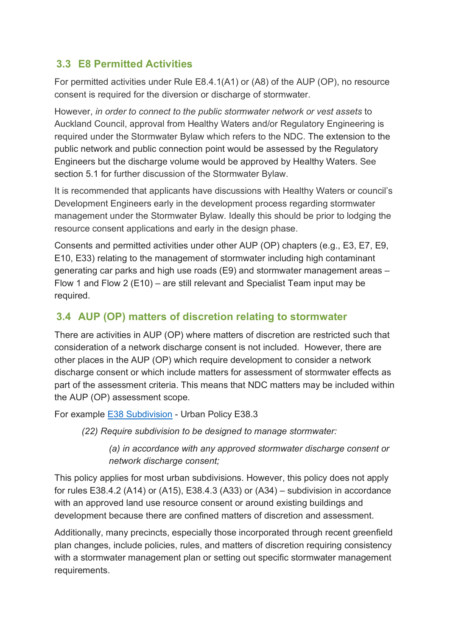## <span id="page-9-0"></span>**3.3 E8 Permitted Activities**

For permitted activities under Rule E8.4.1(A1) or (A8) of the AUP (OP), no resource consent is required for the diversion or discharge of stormwater.

However, *in order to connect to the public stormwater network or vest assets* to Auckland Council, approval from Healthy Waters and/or Regulatory Engineering is required under the Stormwater Bylaw which refers to the NDC. The extension to the public network and public connection point would be assessed by the Regulatory Engineers but the discharge volume would be approved by Healthy Waters. See section 5.1 for further discussion of the Stormwater Bylaw.

It is recommended that applicants have discussions with Healthy Waters or council's Development Engineers early in the development process regarding stormwater management under the Stormwater Bylaw. Ideally this should be prior to lodging the resource consent applications and early in the design phase.

Consents and permitted activities under other AUP (OP) chapters (e.g., E3, E7, E9, E10, E33) relating to the management of stormwater including high contaminant generating car parks and high use roads (E9) and stormwater management areas – Flow 1 and Flow 2 (E10) – are still relevant and Specialist Team input may be required.

## **3.4 AUP (OP) matters of discretion relating to stormwater**

There are activities in AUP (OP) where matters of discretion are restricted such that consideration of a network discharge consent is not included. However, there are other places in the AUP (OP) which require development to consider a network discharge consent or which include matters for assessment of stormwater effects as part of the assessment criteria. This means that NDC matters may be included within the AUP (OP) assessment scope.

For example E38 [Subdivision](https://unitaryplan.aucklandcouncil.govt.nz/Images/Auckland%20Unitary%20Plan%20Operative/Chapter%20E%20Auckland-wide/6.%20Subdivision/E38%20Subdivision%20-%20Urban.pdf) - Urban Policy E38.3

*(22) Require subdivision to be designed to manage stormwater:* 

*(a) in accordance with any approved stormwater discharge consent or network discharge consent;* 

This policy applies for most urban subdivisions. However, this policy does not apply for rules E38.4.2 (A14) or (A15), E38.4.3 (A33) or (A34) – subdivision in accordance with an approved land use resource consent or around existing buildings and development because there are confined matters of discretion and assessment.

Additionally, many precincts, especially those incorporated through recent greenfield plan changes, include policies, rules, and matters of discretion requiring consistency with a stormwater management plan or setting out specific stormwater management requirements.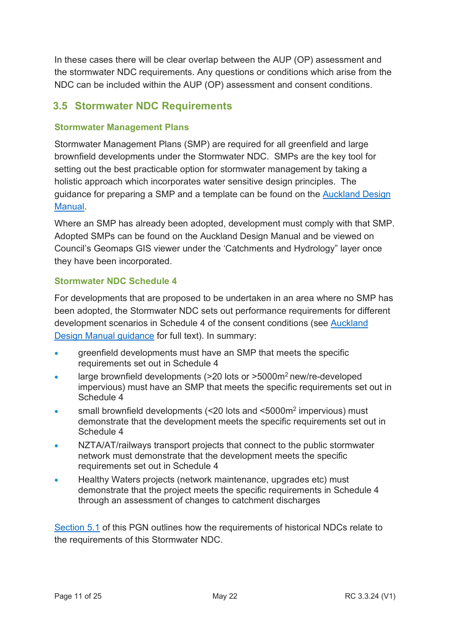In these cases there will be clear overlap between the AUP (OP) assessment and the stormwater NDC requirements. Any questions or conditions which arise from the NDC can be included within the AUP (OP) assessment and consent conditions.

## **3.5 Stormwater NDC Requirements**

#### **Stormwater Management Plans**

Stormwater Management Plans (SMP) are required for all greenfield and large brownfield developments under the Stormwater NDC. SMPs are the key tool for setting out the best practicable option for stormwater management by taking a holistic approach which incorporates water sensitive design principles. The guidance for preparing a SMP and a template can be found on the [Auckland Design](http://www.aucklanddesignmanual.co.nz/regulations/technical-guidance/ndc#/regulations/technical-guidance/ndc/guidance/plans-and-templates)  [Manual.](http://www.aucklanddesignmanual.co.nz/regulations/technical-guidance/ndc#/regulations/technical-guidance/ndc/guidance/plans-and-templates)

Where an SMP has already been adopted, development must comply with that SMP. Adopted SMPs can be found on the [Auckland Design Manual](http://www.aucklanddesignmanual.co.nz/regulations/technical-guidance/ndc#/regulations/technical-guidance/ndc/guidance/management-plans) and be viewed on Council's Geomaps GIS viewer under the 'Catchments and Hydrology" layer once they have been incorporated.

#### **Stormwater NDC Schedule 4**

For developments that are proposed to be undertaken in an area where no SMP has been adopted, the Stormwater NDC sets out performance requirements for different development scenarios in Schedule 4 of the consent conditions (see Auckland [Design Manual guidance](http://content.aucklanddesignmanual.co.nz/regulations/technical-guidance/ndc/Documents/Healthy%20Waters%20NDC%20Schedule%204-full%20version.pdf) for full text). In summary:

- greenfield developments must have an SMP that meets the specific requirements set out in Schedule 4
- large brownfield developments (>20 lots or >5000m2 new/re-developed impervious) must have an SMP that meets the specific requirements set out in Schedule 4
- small brownfield developments (<20 lots and <5000m2 impervious) must demonstrate that the development meets the specific requirements set out in Schedule 4
- NZTA/AT/railways transport projects that connect to the public stormwater network must demonstrate that the development meets the specific requirements set out in Schedule 4
- Healthy Waters projects (network maintenance, upgrades etc) must demonstrate that the project meets the specific requirements in Schedule 4 through an assessment of changes to catchment discharges

[Section 5.1](#page-15-0) of this PGN outlines how the requirements of historical NDCs relate to the requirements of this Stormwater NDC.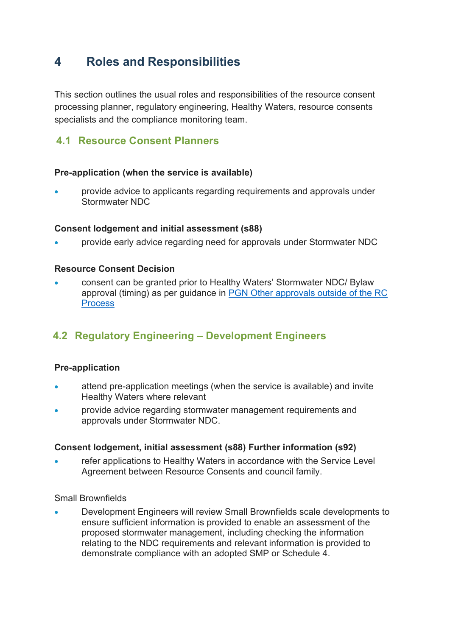## <span id="page-11-0"></span>**4 Roles and Responsibilities**

This section outlines the usual roles and responsibilities of the resource consent processing planner, regulatory engineering, Healthy Waters, resource consents specialists and the compliance monitoring team.

## **4.1 Resource Consent Planners**

#### **Pre-application (when the service is available)**

• provide advice to applicants regarding requirements and approvals under Stormwater NDC

#### **Consent lodgement and initial assessment (s88)**

• provide early advice regarding need for approvals under Stormwater NDC

#### **Resource Consent Decision**

• consent can be granted prior to Healthy Waters' Stormwater NDC/ Bylaw approval (timing) as per guidance in [PGN Other approvals outside of the RC](http://content.aucklanddesignmanual.co.nz/regulations/practice-notes/Documents/RC%203.3.16%20Other%20Approvals%20outside%20of%20the%20Resource%20Consents%20Process.pdf)  **[Process](http://content.aucklanddesignmanual.co.nz/regulations/practice-notes/Documents/RC%203.3.16%20Other%20Approvals%20outside%20of%20the%20Resource%20Consents%20Process.pdf)** 

## **4.2 Regulatory Engineering – Development Engineers**

#### **Pre-application**

- attend pre-application meetings (when the service is available) and invite Healthy Waters where relevant
- provide advice regarding stormwater management requirements and approvals under Stormwater NDC.

#### **Consent lodgement, initial assessment (s88) Further information (s92)**

refer applications to Healthy Waters in accordance with the Service Level Agreement between Resource Consents and council family.

#### Small Brownfields

• Development Engineers will review Small Brownfields scale developments to ensure sufficient information is provided to enable an assessment of the proposed stormwater management, including checking the information relating to the NDC requirements and relevant information is provided to demonstrate compliance with an adopted SMP or Schedule 4.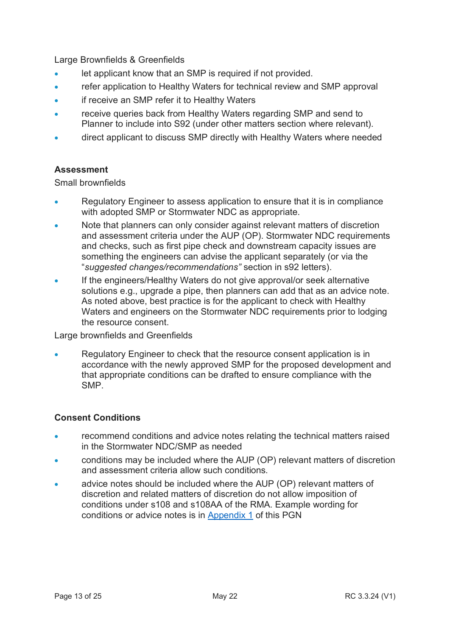Large Brownfields & Greenfields

- let applicant know that an SMP is required if not provided.
- refer application to Healthy Waters for technical review and SMP approval
- if receive an SMP refer it to Healthy Waters
- receive queries back from Healthy Waters regarding SMP and send to Planner to include into S92 (under other matters section where relevant).
- direct applicant to discuss SMP directly with Healthy Waters where needed

#### **Assessment**

Small brownfields

- Regulatory Engineer to assess application to ensure that it is in compliance with adopted SMP or Stormwater NDC as appropriate.
- Note that planners can only consider against relevant matters of discretion and assessment criteria under the AUP (OP). Stormwater NDC requirements and checks, such as first pipe check and downstream capacity issues are something the engineers can advise the applicant separately (or via the "*suggested changes/recommendations"* section in s92 letters).
- If the engineers/Healthy Waters do not give approval/or seek alternative solutions e.g., upgrade a pipe, then planners can add that as an advice note. As noted above, best practice is for the applicant to check with Healthy Waters and engineers on the Stormwater NDC requirements prior to lodging the resource consent.

Large brownfields and Greenfields

• Regulatory Engineer to check that the resource consent application is in accordance with the newly approved SMP for the proposed development and that appropriate conditions can be drafted to ensure compliance with the SMP.

#### **Consent Conditions**

- recommend conditions and advice notes relating the technical matters raised in the Stormwater NDC/SMP as needed
- conditions may be included where the AUP (OP) relevant matters of discretion and assessment criteria allow such conditions.
- advice notes should be included where the AUP (OP) relevant matters of discretion and related matters of discretion do not allow imposition of conditions under s108 and s108AA of the RMA. Example wording for conditions or advice notes is in [Appendix 1](#page-19-0) of this PGN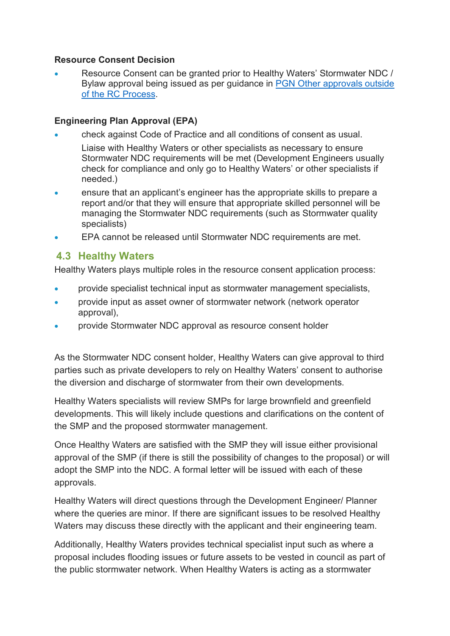#### **Resource Consent Decision**

• Resource Consent can be granted prior to Healthy Waters' Stormwater NDC / Bylaw approval being issued as per guidance in [PGN Other approvals outside](http://content.aucklanddesignmanual.co.nz/regulations/practice-notes/Documents/RC%203.3.16%20Other%20Approvals%20outside%20of%20the%20Resource%20Consents%20Process.pdf)  [of the RC Process.](http://content.aucklanddesignmanual.co.nz/regulations/practice-notes/Documents/RC%203.3.16%20Other%20Approvals%20outside%20of%20the%20Resource%20Consents%20Process.pdf)

#### **Engineering Plan Approval (EPA)**

- check against Code of Practice and all conditions of consent as usual.
- Liaise with Healthy Waters or other specialists as necessary to ensure Stormwater NDC requirements will be met (Development Engineers usually check for compliance and only go to Healthy Waters' or other specialists if needed.)
- ensure that an applicant's engineer has the appropriate skills to prepare a report and/or that they will ensure that appropriate skilled personnel will be managing the Stormwater NDC requirements (such as Stormwater quality specialists)
- EPA cannot be released until Stormwater NDC requirements are met.

### **4.3 Healthy Waters**

Healthy Waters plays multiple roles in the resource consent application process:

- provide specialist technical input as stormwater management specialists,
- provide input as asset owner of stormwater network (network operator approval),
- provide Stormwater NDC approval as resource consent holder

As the Stormwater NDC consent holder, Healthy Waters can give approval to third parties such as private developers to rely on Healthy Waters' consent to authorise the diversion and discharge of stormwater from their own developments.

Healthy Waters specialists will review SMPs for large brownfield and greenfield developments. This will likely include questions and clarifications on the content of the SMP and the proposed stormwater management.

Once Healthy Waters are satisfied with the SMP they will issue either provisional approval of the SMP (if there is still the possibility of changes to the proposal) or will adopt the SMP into the NDC. A formal letter will be issued with each of these approvals.

Healthy Waters will direct questions through the Development Engineer/ Planner where the queries are minor. If there are significant issues to be resolved Healthy Waters may discuss these directly with the applicant and their engineering team.

Additionally, Healthy Waters provides technical specialist input such as where a proposal includes flooding issues or future assets to be vested in council as part of the public stormwater network. When Healthy Waters is acting as a stormwater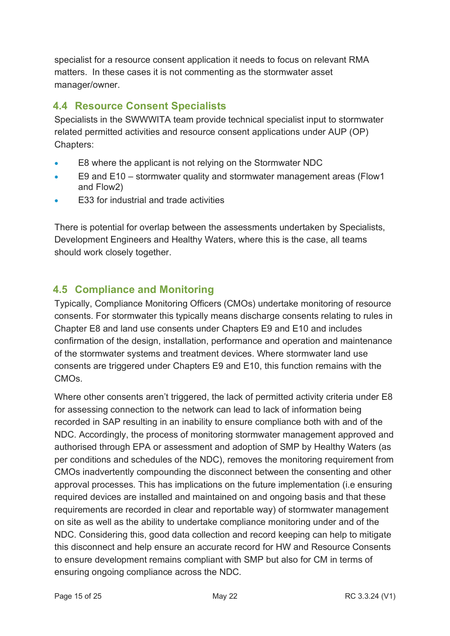specialist for a resource consent application it needs to focus on relevant RMA matters. In these cases it is not commenting as the stormwater asset manager/owner.

## **4.4 Resource Consent Specialists**

Specialists in the SWWWITA team provide technical specialist input to stormwater related permitted activities and resource consent applications under AUP (OP) Chapters:

- E8 where the applicant is not relying on the Stormwater NDC
- E9 and E10 stormwater quality and stormwater management areas (Flow1 and Flow2)
- E33 for industrial and trade activities

There is potential for overlap between the assessments undertaken by Specialists, Development Engineers and Healthy Waters, where this is the case, all teams should work closely together.

## **4.5 Compliance and Monitoring**

Typically, Compliance Monitoring Officers (CMOs) undertake monitoring of resource consents. For stormwater this typically means discharge consents relating to rules in Chapter E8 and land use consents under Chapters E9 and E10 and includes confirmation of the design, installation, performance and operation and maintenance of the stormwater systems and treatment devices. Where stormwater land use consents are triggered under Chapters E9 and E10, this function remains with the CMOs.

Where other consents aren't triggered, the lack of permitted activity criteria under E8 for assessing connection to the network can lead to lack of information being recorded in SAP resulting in an inability to ensure compliance both with and of the NDC. Accordingly, the process of monitoring stormwater management approved and authorised through EPA or assessment and adoption of SMP by Healthy Waters (as per conditions and schedules of the NDC), removes the monitoring requirement from CMOs inadvertently compounding the disconnect between the consenting and other approval processes. This has implications on the future implementation (i.e ensuring required devices are installed and maintained on and ongoing basis and that these requirements are recorded in clear and reportable way) of stormwater management on site as well as the ability to undertake compliance monitoring under and of the NDC. Considering this, good data collection and record keeping can help to mitigate this disconnect and help ensure an accurate record for HW and Resource Consents to ensure development remains compliant with SMP but also for CM in terms of ensuring ongoing compliance across the NDC.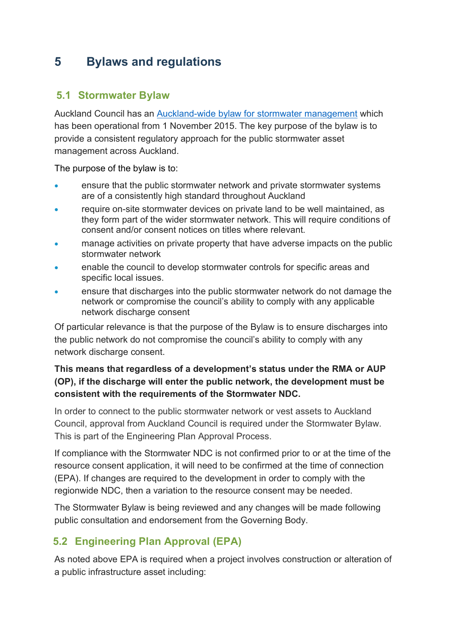## <span id="page-15-0"></span>**5 Bylaws and regulations**

### <span id="page-15-1"></span>**5.1 Stormwater Bylaw**

Auckland Council has an [Auckland-wide bylaw for stormwater management](https://www.aucklandcouncil.govt.nz/plans-projects-policies-reports-bylaws/bylaws/Documents/stormwaterbylaw2015.pdf) which has been operational from 1 November 2015. The key purpose of the bylaw is to provide a consistent regulatory approach for the public stormwater asset management across Auckland.

The purpose of the bylaw is to:

- ensure that the public stormwater network and private stormwater systems are of a consistently high standard throughout Auckland
- require on-site stormwater devices on private land to be well maintained, as they form part of the wider stormwater network. This will require conditions of consent and/or consent notices on titles where relevant.
- manage activities on private property that have adverse impacts on the public stormwater network
- enable the council to develop stormwater controls for specific areas and specific local issues.
- ensure that discharges into the public stormwater network do not damage the network or compromise the council's ability to comply with any applicable network discharge consent

Of particular relevance is that the purpose of the Bylaw is to ensure discharges into the public network do not compromise the council's ability to comply with any network discharge consent.

### **This means that regardless of a development's status under the RMA or AUP (OP), if the discharge will enter the public network, the development must be consistent with the requirements of the Stormwater NDC.**

In order to connect to the public stormwater network or vest assets to Auckland Council, approval from Auckland Council is required under the Stormwater Bylaw. This is part of the Engineering Plan Approval Process.

If compliance with the Stormwater NDC is not confirmed prior to or at the time of the resource consent application, it will need to be confirmed at the time of connection (EPA). If changes are required to the development in order to comply with the regionwide NDC, then a variation to the resource consent may be needed.

The Stormwater Bylaw is being reviewed and any changes will be made following public consultation and endorsement from the Governing Body.

## **5.2 Engineering Plan Approval (EPA)**

As noted above EPA is required when a project involves construction or alteration of a public infrastructure asset including: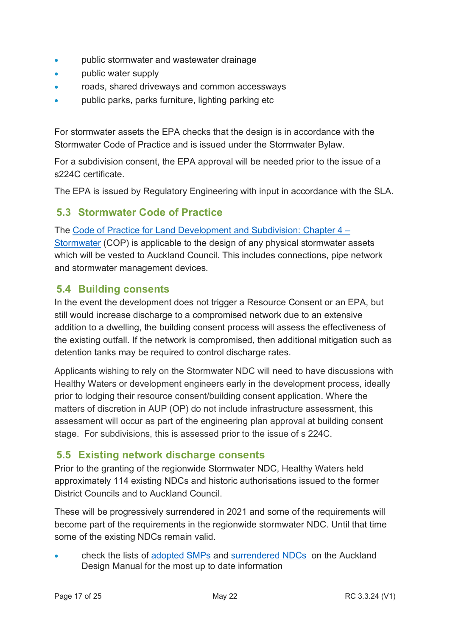- public stormwater and wastewater drainage
- **public water supply**
- roads, shared driveways and common accessways
- public parks, parks furniture, lighting parking etc

For stormwater assets the EPA checks that the design is in accordance with the Stormwater Code of Practice and is issued under the Stormwater Bylaw.

For a subdivision consent, the EPA approval will be needed prior to the issue of a s224C certificate.

The EPA is issued by Regulatory Engineering with input in accordance with the SLA.

## **5.3 Stormwater Code of Practice**

The [Code of Practice for Land Development and Subdivision: Chapter 4 –](http://www.aucklanddesignmanual.co.nz/regulations/codes-of-practice)  [Stormwater](http://www.aucklanddesignmanual.co.nz/regulations/codes-of-practice) (COP) is applicable to the design of any physical stormwater assets which will be vested to Auckland Council. This includes connections, pipe network and stormwater management devices.

### **5.4 Building consents**

In the event the development does not trigger a Resource Consent or an EPA, but still would increase discharge to a compromised network due to an extensive addition to a dwelling, the building consent process will assess the effectiveness of the existing outfall. If the network is compromised, then additional mitigation such as detention tanks may be required to control discharge rates.

Applicants wishing to rely on the Stormwater NDC will need to have discussions with Healthy Waters or development engineers early in the development process, ideally prior to lodging their resource consent/building consent application. Where the matters of discretion in AUP (OP) do not include infrastructure assessment, this assessment will occur as part of the engineering plan approval at building consent stage. For subdivisions, this is assessed prior to the issue of s 224C.

## **5.5 Existing network discharge consents**

Prior to the granting of the regionwide Stormwater NDC, Healthy Waters held approximately 114 existing NDCs and historic authorisations issued to the former District Councils and to Auckland Council.

These will be progressively surrendered in 2021 and some of the requirements will become part of the requirements in the regionwide stormwater NDC. Until that time some of the existing NDCs remain valid.

• check the lists of [adopted SMPs](http://www.aucklanddesignmanual.co.nz/regulations/technical-guidance/ndc#/regulations/technical-guidance/ndc/guidance/management-plans) and [surrendered NDCs](http://www.aucklanddesignmanual.co.nz/regulations/technical-guidance/ndc#/regulations/technical-guidance/ndc/guidance/authorisation/existing-consents) on the Auckland Design Manual for the most up to date information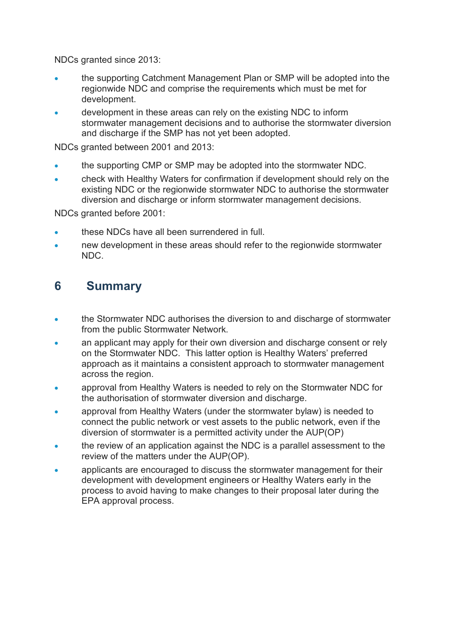NDCs granted since 2013:

- the supporting Catchment Management Plan or SMP will be adopted into the regionwide NDC and comprise the requirements which must be met for development.
- development in these areas can rely on the existing NDC to inform stormwater management decisions and to authorise the stormwater diversion and discharge if the SMP has not yet been adopted.

NDCs granted between 2001 and 2013:

- the supporting CMP or SMP may be adopted into the stormwater NDC.
- check with Healthy Waters for confirmation if development should rely on the existing NDC or the regionwide stormwater NDC to authorise the stormwater diversion and discharge or inform stormwater management decisions.

NDCs granted before 2001:

- these NDCs have all been surrendered in full.
- new development in these areas should refer to the regionwide stormwater NDC.

## <span id="page-17-0"></span>**6 Summary**

- the Stormwater NDC authorises the diversion to and discharge of stormwater from the public Stormwater Network.
- an applicant may apply for their own diversion and discharge consent or rely on the Stormwater NDC. This latter option is Healthy Waters' preferred approach as it maintains a consistent approach to stormwater management across the region.
- approval from Healthy Waters is needed to rely on the Stormwater NDC for the authorisation of stormwater diversion and discharge.
- approval from Healthy Waters (under the stormwater bylaw) is needed to connect the public network or vest assets to the public network, even if the diversion of stormwater is a permitted activity under the AUP(OP)
- the review of an application against the NDC is a parallel assessment to the review of the matters under the AUP(OP).
- applicants are encouraged to discuss the stormwater management for their development with development engineers or Healthy Waters early in the process to avoid having to make changes to their proposal later during the EPA approval process.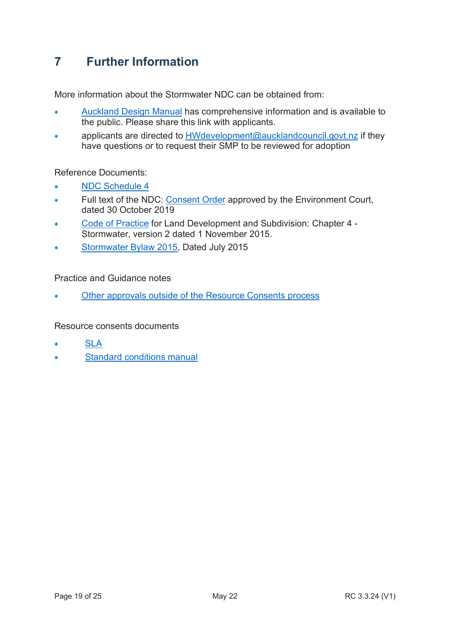## <span id="page-18-0"></span>**7 Further Information**

More information about the Stormwater NDC can be obtained from:

- [Auckland Design Manual](http://aucklanddesignmanual.co.nz/ndc) has comprehensive information and is available to the public. Please share this link with applicants.
- applicants are directed to [HWdevelopment@aucklandcouncil.govt.nz](mailto:HWdevelopments@aucklandcouncil.govt.nz) if they have questions or to request their SMP to be reviewed for adoption

Reference Documents:

- [NDC Schedule 4](http://content.aucklanddesignmanual.co.nz/regulations/technical-guidance/ndc/Documents/Healthy%20Waters%20NDC%20Schedule%204-full%20version.pdf)
- Full text of the NDC: [Consent Order](http://content.aucklanddesignmanual.co.nz/regulations/technical-guidance/ndc/Documents/ENV-2019-AKL-000081%20Kainga%20Ora%20(as%20Successor%20to%20Housing%20New%20Zealand%20Corporation)%20v%20Auckland%20Council%20Env%20Court%20order.pdf) approved by the Environment Court, dated 30 October 2019
- [Code of Practice](http://www.aucklanddesignmanual.co.nz/regulations/codes-of-practice) for Land Development and Subdivision: Chapter 4 Stormwater, version 2 dated 1 November 2015.
- [Stormwater Bylaw 2015,](https://www.aucklandcouncil.govt.nz/plans-projects-policies-reports-bylaws/bylaws/Documents/stormwaterbylaw2015.pdf) Dated July 2015

Practice and Guidance notes

• [Other approvals outside of the Resource Consents process](http://content.aucklanddesignmanual.co.nz/regulations/practice-notes/Documents/RC%203.3.16%20Other%20Approvals%20outside%20of%20the%20Resource%20Consents%20Process.pdf)

Resource consents documents

- [SLA](https://acintranet.aklc.govt.nz/EN/departments/resourceconsents/Resource%20Consents%20Document%20Control%20Masters/RC%204.10.9%20Service%20Level%20Agreement%20between%20Regulatory%20Services%20and%20Council%20Family.pdf)
- [Standard conditions manual](http://www.aucklanddesignmanual.co.nz/regulations/consent-conditions-manual)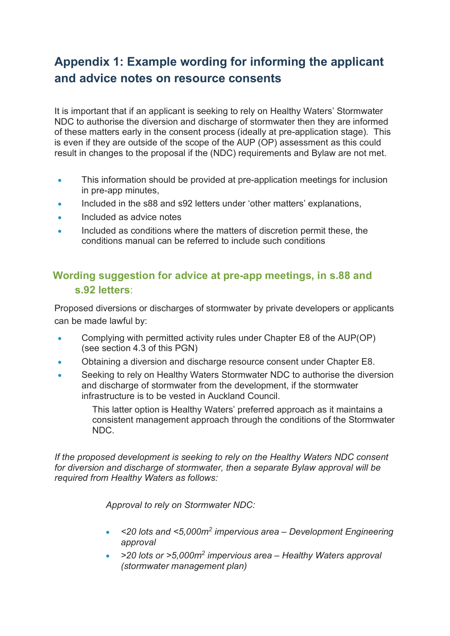# <span id="page-19-0"></span>**Appendix 1: Example wording for informing the applicant and advice notes on resource consents**

It is important that if an applicant is seeking to rely on Healthy Waters' Stormwater NDC to authorise the diversion and discharge of stormwater then they are informed of these matters early in the consent process (ideally at pre-application stage). This is even if they are outside of the scope of the AUP (OP) assessment as this could result in changes to the proposal if the (NDC) requirements and Bylaw are not met.

- This information should be provided at pre-application meetings for inclusion in pre-app minutes,
- Included in the s88 and s92 letters under 'other matters' explanations,
- Included as advice notes
- Included as conditions where the matters of discretion permit these, the conditions manual can be referred to include such conditions

## **Wording suggestion for advice at pre-app meetings, in s.88 and s.92 letters**:

Proposed diversions or discharges of stormwater by private developers or applicants can be made lawful by:

- Complying with permitted activity rules under Chapter E8 of the AUP(OP) (see section 4.3 of this PGN)
- Obtaining a diversion and discharge resource consent under Chapter E8.
- Seeking to rely on Healthy Waters Stormwater NDC to authorise the diversion and discharge of stormwater from the development, if the stormwater infrastructure is to be vested in Auckland Council.

This latter option is Healthy Waters' preferred approach as it maintains a consistent management approach through the conditions of the Stormwater NDC.

*If the proposed development is seeking to rely on the Healthy Waters NDC consent for diversion and discharge of stormwater, then a separate Bylaw approval will be required from Healthy Waters as follows:*

*Approval to rely on Stormwater NDC:*

- *<20 lots and <5,000m<sup>2</sup> impervious area – Development Engineering approval*
- *>20 lots or >5,000m<sup>2</sup> impervious area – Healthy Waters approval (stormwater management plan)*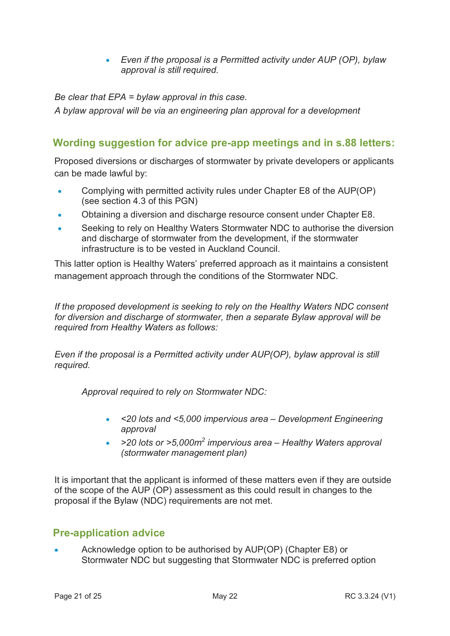• *Even if the proposal is a Permitted activity under AUP (OP), bylaw approval is still required.* 

*Be clear that EPA = bylaw approval in this case.*

*A bylaw approval will be via an engineering plan approval for a development* 

### **Wording suggestion for advice pre-app meetings and in s.88 letters:**

Proposed diversions or discharges of stormwater by private developers or applicants can be made lawful by:

- Complying with permitted activity rules under Chapter E8 of the AUP(OP) (see section 4.3 of this PGN)
- Obtaining a diversion and discharge resource consent under Chapter E8.
- Seeking to rely on Healthy Waters Stormwater NDC to authorise the diversion and discharge of stormwater from the development, if the stormwater infrastructure is to be vested in Auckland Council.

This latter option is Healthy Waters' preferred approach as it maintains a consistent management approach through the conditions of the Stormwater NDC.

*If the proposed development is seeking to rely on the Healthy Waters NDC consent for diversion and discharge of stormwater, then a separate Bylaw approval will be required from Healthy Waters as follows:*

*Even if the proposal is a Permitted activity under AUP(OP), bylaw approval is still required.* 

*Approval required to rely on Stormwater NDC:*

- *<20 lots and <5,000 impervious area Development Engineering approval*
- *>20 lots or >5,000m<sup>2</sup> impervious area Healthy Waters approval (stormwater management plan)*

It is important that the applicant is informed of these matters even if they are outside of the scope of the AUP (OP) assessment as this could result in changes to the proposal if the Bylaw (NDC) requirements are not met.

### **Pre-application advice**

• Acknowledge option to be authorised by AUP(OP) (Chapter E8) or Stormwater NDC but suggesting that Stormwater NDC is preferred option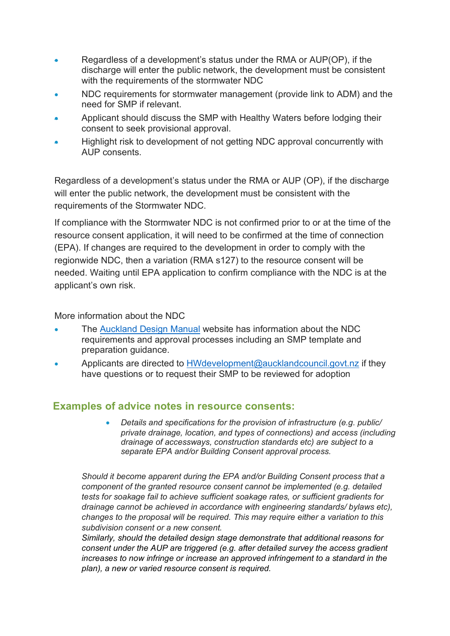- Regardless of a development's status under the RMA or AUP(OP), if the discharge will enter the public network, the development must be consistent with the requirements of the stormwater NDC
- NDC requirements for stormwater management (provide link to ADM) and the need for SMP if relevant.
- Applicant should discuss the SMP with Healthy Waters before lodging their consent to seek provisional approval.
- Highlight risk to development of not getting NDC approval concurrently with AUP consents.

Regardless of a development's status under the RMA or AUP (OP), if the discharge will enter the public network, the development must be consistent with the requirements of the Stormwater NDC.

If compliance with the Stormwater NDC is not confirmed prior to or at the time of the resource consent application, it will need to be confirmed at the time of connection (EPA). If changes are required to the development in order to comply with the regionwide NDC, then a variation (RMA s127) to the resource consent will be needed. Waiting until EPA application to confirm compliance with the NDC is at the applicant's own risk.

More information about the NDC

- The [Auckland Design Manual](http://aucklanddesignmanual.co.nz/ndc) website has information about the NDC requirements and approval processes including an SMP template and preparation guidance.
- Applicants are directed to [HWdevelopment@aucklandcouncil.govt.nz](mailto:HWdevelopments@aucklandcouncil.govt.nz) if they have questions or to request their SMP to be reviewed for adoption

### **Examples of advice notes in resource consents:**

• *Details and specifications for the provision of infrastructure (e.g. public/ private drainage, location, and types of connections) and access (including drainage of accessways, construction standards etc) are subject to a separate EPA and/or Building Consent approval process.* 

*Should it become apparent during the EPA and/or Building Consent process that a component of the granted resource consent cannot be implemented (e.g. detailed tests for soakage fail to achieve sufficient soakage rates, or sufficient gradients for drainage cannot be achieved in accordance with engineering standards/ bylaws etc), changes to the proposal will be required. This may require either a variation to this subdivision consent or a new consent.*

*Similarly, should the detailed design stage demonstrate that additional reasons for consent under the AUP are triggered (e.g. after detailed survey the access gradient increases to now infringe or increase an approved infringement to a standard in the plan), a new or varied resource consent is required.*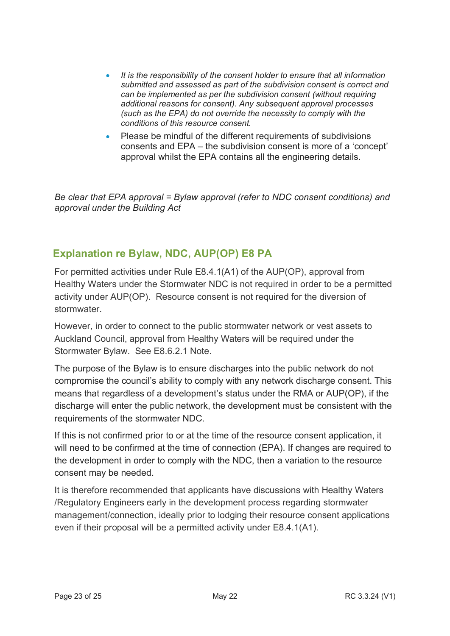- *It is the responsibility of the consent holder to ensure that all information submitted and assessed as part of the subdivision consent is correct and can be implemented as per the subdivision consent (without requiring additional reasons for consent). Any subsequent approval processes (such as the EPA) do not override the necessity to comply with the conditions of this resource consent.*
- Please be mindful of the different requirements of subdivisions consents and EPA – the subdivision consent is more of a 'concept' approval whilst the EPA contains all the engineering details.

*Be clear that EPA approval = Bylaw approval (refer to NDC consent conditions) and approval under the Building Act*

## **Explanation re Bylaw, NDC, AUP(OP) E8 PA**

For permitted activities under Rule E8.4.1(A1) of the AUP(OP), approval from Healthy Waters under the Stormwater NDC is not required in order to be a permitted activity under AUP(OP). Resource consent is not required for the diversion of stormwater.

However, in order to connect to the public stormwater network or vest assets to Auckland Council, approval from Healthy Waters will be required under the Stormwater Bylaw. See E8.6.2.1 Note.

The purpose of the Bylaw is to ensure discharges into the public network do not compromise the council's ability to comply with any network discharge consent. This means that regardless of a development's status under the RMA or AUP(OP), if the discharge will enter the public network, the development must be consistent with the requirements of the stormwater NDC.

If this is not confirmed prior to or at the time of the resource consent application, it will need to be confirmed at the time of connection (EPA). If changes are required to the development in order to comply with the NDC, then a variation to the resource consent may be needed.

It is therefore recommended that applicants have discussions with Healthy Waters /Regulatory Engineers early in the development process regarding stormwater management/connection, ideally prior to lodging their resource consent applications even if their proposal will be a permitted activity under E8.4.1(A1).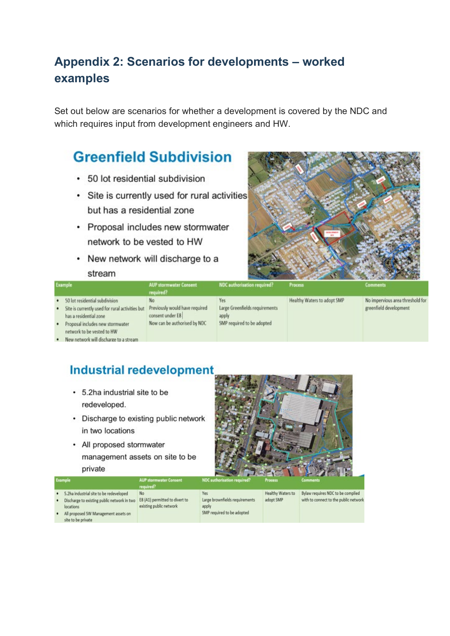# <span id="page-23-0"></span>**Appendix 2: Scenarios for developments – worked examples**

Set out below are scenarios for whether a development is covered by the NDC and which requires input from development engineers and HW.

# **Greenfield Subdivision**

- 50 lot residential subdivision
- Site is currently used for rural activities but has a residential zone
- Proposal includes new stormwater network to be vested to HW
- New network will discharge to a stream



|                |                                                                                                                                                                                                                                                                                                  |                                                                                          |                                                                              | <b>CONTRACTOR CONTRACTOR</b><br><b><i>CONTRACTORY</i></b> |                                                            |  |  |
|----------------|--------------------------------------------------------------------------------------------------------------------------------------------------------------------------------------------------------------------------------------------------------------------------------------------------|------------------------------------------------------------------------------------------|------------------------------------------------------------------------------|-----------------------------------------------------------|------------------------------------------------------------|--|--|
|                | <b>Example</b>                                                                                                                                                                                                                                                                                   | <b>AUP stormwater Consent</b><br>required?                                               | NDC authorisation required?                                                  | <b>Process</b>                                            | <b>Comments</b>                                            |  |  |
| ٠<br>$\bullet$ | 50 lot residential subdivision<br>Site is currently used for rural activities but<br>has a residential zone<br>Proposal includes new stormwater<br>network to be vested to HW<br>the contract of the contract of the contract of the contract of the contract of the contract of the contract of | No<br>Previously would have required<br>consent under E8<br>Now can be authorised by NDC | Yes<br>Large Greenfields requirements<br>apply<br>SMP required to be adopted | Healthy Waters to adopt SMP                               | No impervious area threshold for<br>greenfield development |  |  |

. New network will discharge to a stream

# **Industrial redevelopment**

- 5.2ha industrial site to be redeveloped.
- Discharge to existing public network in two locations
- All proposed stormwater management assets on site to be private



| Healthy Waters to<br>5.2ha industrial site to be redeveloped<br>Yes.<br>No.                                                                                                                                                                                                         |                                                                          |
|-------------------------------------------------------------------------------------------------------------------------------------------------------------------------------------------------------------------------------------------------------------------------------------|--------------------------------------------------------------------------|
| Large brownfields requirements<br>E8 (A1) permitted to divert to<br>adopt SMP<br>Discharge to existing public network in two<br>٠<br>existing public network<br>locations<br>apply<br>SMP required to be adopted<br>All proposed SW Management assets on<br>٠<br>site to be private | Bylaw requires NDC to be complied<br>with to connect to the public netwo |